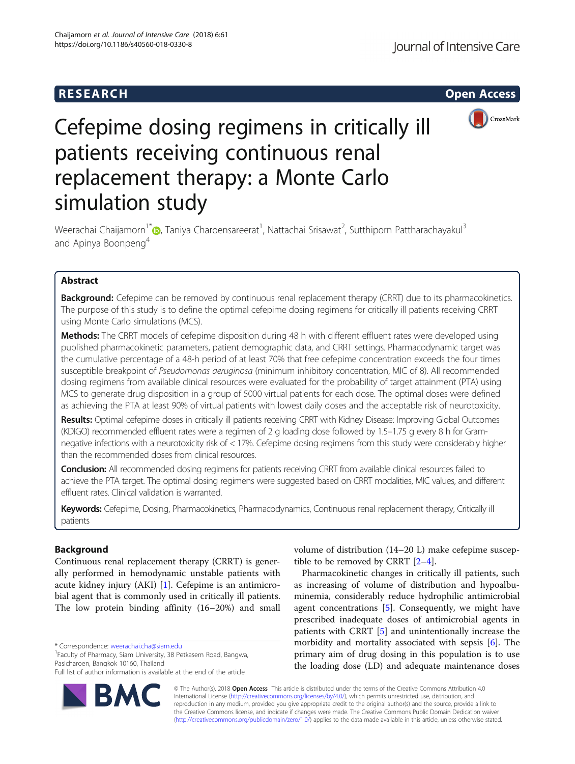# **RESEARCH CHILD CONTROL** CONTROL CONTROL CONTROL CONTROL CONTROL CONTROL CONTROL CONTROL CONTROL CONTROL CONTROL CONTROL CONTROL CONTROL CONTROL CONTROL CONTROL CONTROL CONTROL CONTROL CONTROL CONTROL CONTROL CONTROL CONTR



# Cefepime dosing regimens in critically ill patients receiving continuous renal replacement therapy: a Monte Carlo simulation study

Weerachai Chaijamorn<sup>1\*</sup>�, Taniya Charoensareerat<sup>1</sup>, Nattachai Srisawat<sup>2</sup>, Sutthiporn Pattharachayakul<sup>3</sup> and Apinya Boonpeng<sup>4</sup>

# Abstract

**Background:** Cefepime can be removed by continuous renal replacement therapy (CRRT) due to its pharmacokinetics. The purpose of this study is to define the optimal cefepime dosing regimens for critically ill patients receiving CRRT using Monte Carlo simulations (MCS).

Methods: The CRRT models of cefepime disposition during 48 h with different effluent rates were developed using published pharmacokinetic parameters, patient demographic data, and CRRT settings. Pharmacodynamic target was the cumulative percentage of a 48-h period of at least 70% that free cefepime concentration exceeds the four times susceptible breakpoint of Pseudomonas aeruginosa (minimum inhibitory concentration, MIC of 8). All recommended dosing regimens from available clinical resources were evaluated for the probability of target attainment (PTA) using MCS to generate drug disposition in a group of 5000 virtual patients for each dose. The optimal doses were defined as achieving the PTA at least 90% of virtual patients with lowest daily doses and the acceptable risk of neurotoxicity.

Results: Optimal cefepime doses in critically ill patients receiving CRRT with Kidney Disease: Improving Global Outcomes (KDIGO) recommended effluent rates were a regimen of 2 g loading dose followed by 1.5–1.75 g every 8 h for Gramnegative infections with a neurotoxicity risk of < 17%. Cefepime dosing regimens from this study were considerably higher than the recommended doses from clinical resources.

Conclusion: All recommended dosing regimens for patients receiving CRRT from available clinical resources failed to achieve the PTA target. The optimal dosing regimens were suggested based on CRRT modalities, MIC values, and different effluent rates. Clinical validation is warranted.

Keywords: Cefepime, Dosing, Pharmacokinetics, Pharmacodynamics, Continuous renal replacement therapy, Critically ill patients

# Background

Continuous renal replacement therapy (CRRT) is generally performed in hemodynamic unstable patients with acute kidney injury (AKI) [[1\]](#page-9-0). Cefepime is an antimicrobial agent that is commonly used in critically ill patients. The low protein binding affinity (16–20%) and small

\* Correspondence: [weerachai.cha@siam.edu](mailto:weerachai.cha@siam.edu) <sup>1</sup>

Faculty of Pharmacy, Siam University, 38 Petkasem Road, Bangwa, Pasicharoen, Bangkok 10160, Thailand

Full list of author information is available at the end of the article



volume of distribution (14–20 L) make cefepime susceptible to be removed by CRRT  $[2-4]$  $[2-4]$  $[2-4]$ .

Pharmacokinetic changes in critically ill patients, such as increasing of volume of distribution and hypoalbuminemia, considerably reduce hydrophilic antimicrobial agent concentrations [\[5](#page-9-0)]. Consequently, we might have prescribed inadequate doses of antimicrobial agents in patients with CRRT [[5](#page-9-0)] and unintentionally increase the morbidity and mortality associated with sepsis [[6\]](#page-9-0). The primary aim of drug dosing in this population is to use the loading dose (LD) and adequate maintenance doses

© The Author(s). 2018 Open Access This article is distributed under the terms of the Creative Commons Attribution 4.0 International License [\(http://creativecommons.org/licenses/by/4.0/](http://creativecommons.org/licenses/by/4.0/)), which permits unrestricted use, distribution, and reproduction in any medium, provided you give appropriate credit to the original author(s) and the source, provide a link to the Creative Commons license, and indicate if changes were made. The Creative Commons Public Domain Dedication waiver [\(http://creativecommons.org/publicdomain/zero/1.0/](http://creativecommons.org/publicdomain/zero/1.0/)) applies to the data made available in this article, unless otherwise stated.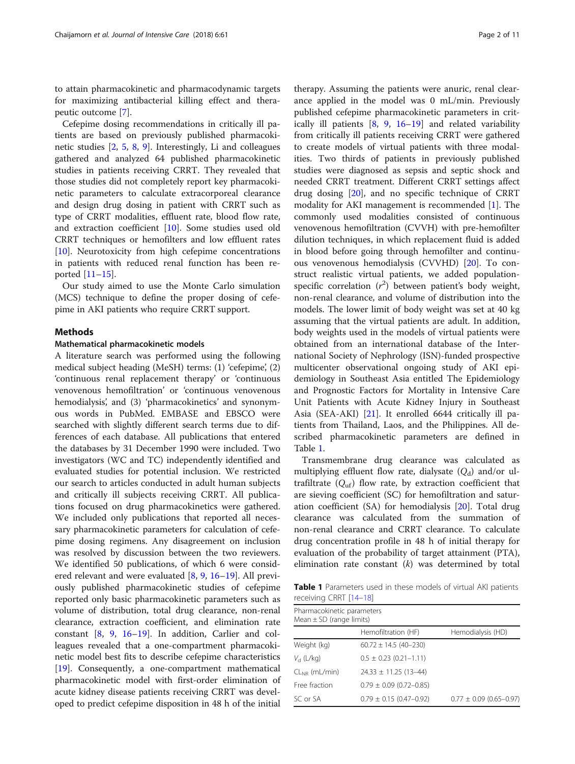<span id="page-1-0"></span>to attain pharmacokinetic and pharmacodynamic targets for maximizing antibacterial killing effect and therapeutic outcome [\[7](#page-9-0)].

Cefepime dosing recommendations in critically ill patients are based on previously published pharmacokinetic studies [\[2](#page-9-0), [5](#page-9-0), [8,](#page-9-0) [9\]](#page-10-0). Interestingly, Li and colleagues gathered and analyzed 64 published pharmacokinetic studies in patients receiving CRRT. They revealed that those studies did not completely report key pharmacokinetic parameters to calculate extracorporeal clearance and design drug dosing in patient with CRRT such as type of CRRT modalities, effluent rate, blood flow rate, and extraction coefficient [[10\]](#page-10-0). Some studies used old CRRT techniques or hemofilters and low effluent rates [[10\]](#page-10-0). Neurotoxicity from high cefepime concentrations in patients with reduced renal function has been reported [[11](#page-10-0)–[15](#page-10-0)].

Our study aimed to use the Monte Carlo simulation (MCS) technique to define the proper dosing of cefepime in AKI patients who require CRRT support.

# Methods

## Mathematical pharmacokinetic models

A literature search was performed using the following medical subject heading (MeSH) terms: (1) 'cefepime', (2) 'continuous renal replacement therapy' or 'continuous venovenous hemofiltration' or 'continuous venovenous hemodialysis', and (3) 'pharmacokinetics' and synonymous words in PubMed. EMBASE and EBSCO were searched with slightly different search terms due to differences of each database. All publications that entered the databases by 31 December 1990 were included. Two investigators (WC and TC) independently identified and evaluated studies for potential inclusion. We restricted our search to articles conducted in adult human subjects and critically ill subjects receiving CRRT. All publications focused on drug pharmacokinetics were gathered. We included only publications that reported all necessary pharmacokinetic parameters for calculation of cefepime dosing regimens. Any disagreement on inclusion was resolved by discussion between the two reviewers. We identified 50 publications, of which 6 were considered relevant and were evaluated [[8,](#page-9-0) [9,](#page-10-0) [16](#page-10-0)–[19](#page-10-0)]. All previously published pharmacokinetic studies of cefepime reported only basic pharmacokinetic parameters such as volume of distribution, total drug clearance, non-renal clearance, extraction coefficient, and elimination rate constant [[8,](#page-9-0) [9,](#page-10-0) [16](#page-10-0)–[19](#page-10-0)]. In addition, Carlier and colleagues revealed that a one-compartment pharmacokinetic model best fits to describe cefepime characteristics [[19\]](#page-10-0). Consequently, a one-compartment mathematical pharmacokinetic model with first-order elimination of acute kidney disease patients receiving CRRT was developed to predict cefepime disposition in 48 h of the initial

therapy. Assuming the patients were anuric, renal clearance applied in the model was 0 mL/min. Previously published cefepime pharmacokinetic parameters in critically ill patients  $[8, 9, 16-19]$  $[8, 9, 16-19]$  $[8, 9, 16-19]$  $[8, 9, 16-19]$  $[8, 9, 16-19]$  $[8, 9, 16-19]$  $[8, 9, 16-19]$  $[8, 9, 16-19]$  and related variability from critically ill patients receiving CRRT were gathered to create models of virtual patients with three modalities. Two thirds of patients in previously published studies were diagnosed as sepsis and septic shock and needed CRRT treatment. Different CRRT settings affect drug dosing [[20\]](#page-10-0), and no specific technique of CRRT modality for AKI management is recommended [[1\]](#page-9-0). The commonly used modalities consisted of continuous venovenous hemofiltration (CVVH) with pre-hemofilter dilution techniques, in which replacement fluid is added in blood before going through hemofilter and continuous venovenous hemodialysis (CVVHD) [\[20](#page-10-0)]. To construct realistic virtual patients, we added populationspecific correlation  $(r^2)$  between patient's body weight, non-renal clearance, and volume of distribution into the models. The lower limit of body weight was set at 40 kg assuming that the virtual patients are adult. In addition, body weights used in the models of virtual patients were obtained from an international database of the International Society of Nephrology (ISN)-funded prospective multicenter observational ongoing study of AKI epidemiology in Southeast Asia entitled The Epidemiology and Prognostic Factors for Mortality in Intensive Care Unit Patients with Acute Kidney Injury in Southeast Asia (SEA-AKI) [[21](#page-10-0)]. It enrolled 6644 critically ill patients from Thailand, Laos, and the Philippines. All described pharmacokinetic parameters are defined in Table 1.

Transmembrane drug clearance was calculated as multiplying effluent flow rate, dialysate  $(Q_d)$  and/or ultrafiltrate  $(Q<sub>uf</sub>)$  flow rate, by extraction coefficient that are sieving coefficient (SC) for hemofiltration and saturation coefficient (SA) for hemodialysis [\[20](#page-10-0)]. Total drug clearance was calculated from the summation of non-renal clearance and CRRT clearance. To calculate drug concentration profile in 48 h of initial therapy for evaluation of the probability of target attainment (PTA), elimination rate constant  $(k)$  was determined by total

Table 1 Parameters used in these models of virtual AKI patients receiving CRRT [\[14](#page-10-0)–[18\]](#page-10-0)

| Pharmacokinetic parameters<br>Mean $\pm$ SD (range limits) |                             |                             |
|------------------------------------------------------------|-----------------------------|-----------------------------|
|                                                            | Hemofiltration (HF)         | Hemodialysis (HD)           |
| Weight (kg)                                                | $60.72 \pm 14.5$ (40-230)   |                             |
| $V_d$ (L/kg)                                               | $0.5 \pm 0.23$ (0.21-1.11)  |                             |
| $CL_{NR}$ (mL/min)                                         | $24.33 \pm 11.25$ (13-44)   |                             |
| Free fraction                                              | $0.79 \pm 0.09$ (0.72-0.85) |                             |
| SC or SA                                                   | $0.79 \pm 0.15$ (0.47-0.92) | $0.77 \pm 0.09$ (0.65-0.97) |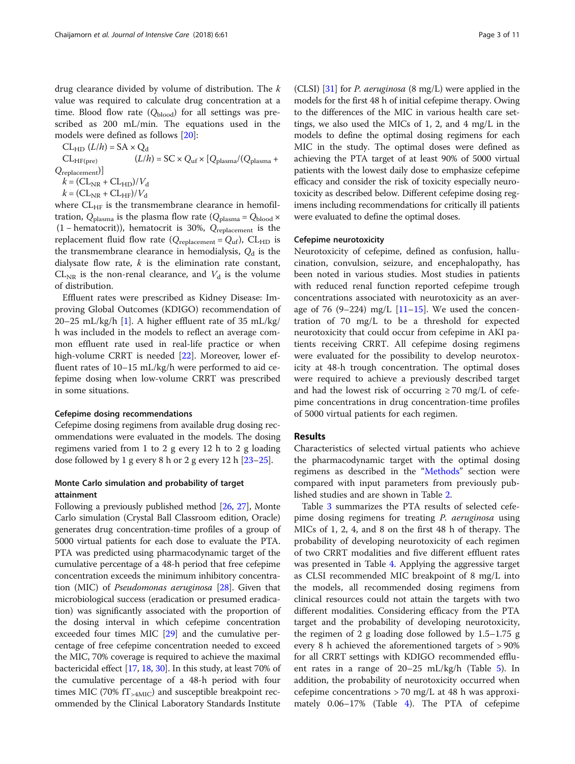drug clearance divided by volume of distribution. The k value was required to calculate drug concentration at a time. Blood flow rate  $(Q_{\text{blood}})$  for all settings was prescribed as 200 mL/min. The equations used in the models were defined as follows [\[20](#page-10-0)]:

 $CL_{HD} (L/h) = SA \times Q_d$  $CL_{HF(pre)}$   $(L/h) = SC \times Q_{uf} \times [Q_{plasma}/(Q_{plasma} +$ Qreplacement)]

 $k = (CL<sub>NR</sub> + CL<sub>HD</sub>)/V<sub>d</sub>$  $k = (CL<sub>NR</sub> + CL<sub>HF</sub>)/V<sub>d</sub>$ 

where  $CL_{HF}$  is the transmembrane clearance in hemofiltration,  $Q_{\text{plasma}}$  is the plasma flow rate  $(Q_{\text{plasma}} = Q_{\text{blood}} \times$  $(1 - \text{hematorit})$ , hematocrit is 30%,  $Q_{\text{replacement}}$  is the replacement fluid flow rate ( $Q_{\text{replacement}} = Q_{\text{uf}}$ ),  $CL_{HD}$  is the transmembrane clearance in hemodialysis,  $Q_d$  is the dialysate flow rate,  $k$  is the elimination rate constant,  $CL<sub>NR</sub>$  is the non-renal clearance, and  $V<sub>d</sub>$  is the volume of distribution.

Effluent rates were prescribed as Kidney Disease: Improving Global Outcomes (KDIGO) recommendation of 20–25 mL/kg/h [\[1](#page-9-0)]. A higher effluent rate of 35 mL/kg/ h was included in the models to reflect an average common effluent rate used in real-life practice or when high-volume CRRT is needed [\[22](#page-10-0)]. Moreover, lower effluent rates of 10–15 mL/kg/h were performed to aid cefepime dosing when low-volume CRRT was prescribed in some situations.

# Cefepime dosing recommendations

Cefepime dosing regimens from available drug dosing recommendations were evaluated in the models. The dosing regimens varied from 1 to 2 g every 12 h to 2 g loading dose followed by 1 g every 8 h or 2 g every 12 h [[23](#page-10-0)–[25\]](#page-10-0).

# Monte Carlo simulation and probability of target attainment

Following a previously published method [\[26](#page-10-0), [27](#page-10-0)], Monte Carlo simulation (Crystal Ball Classroom edition, Oracle) generates drug concentration-time profiles of a group of 5000 virtual patients for each dose to evaluate the PTA. PTA was predicted using pharmacodynamic target of the cumulative percentage of a 48-h period that free cefepime concentration exceeds the minimum inhibitory concentration (MIC) of Pseudomonas aeruginosa [[28](#page-10-0)]. Given that microbiological success (eradication or presumed eradication) was significantly associated with the proportion of the dosing interval in which cefepime concentration exceeded four times MIC [[29](#page-10-0)] and the cumulative percentage of free cefepime concentration needed to exceed the MIC, 70% coverage is required to achieve the maximal bactericidal effect [\[17](#page-10-0), [18](#page-10-0), [30\]](#page-10-0). In this study, at least 70% of the cumulative percentage of a 48-h period with four times MIC (70%  $f_{\text{S4MIC}}$ ) and susceptible breakpoint recommended by the Clinical Laboratory Standards Institute

(CLSI) [\[31\]](#page-10-0) for P. aeruginosa (8 mg/L) were applied in the models for the first 48 h of initial cefepime therapy. Owing to the differences of the MIC in various health care settings, we also used the MICs of 1, 2, and 4 mg/L in the models to define the optimal dosing regimens for each MIC in the study. The optimal doses were defined as achieving the PTA target of at least 90% of 5000 virtual patients with the lowest daily dose to emphasize cefepime efficacy and consider the risk of toxicity especially neurotoxicity as described below. Different cefepime dosing regimens including recommendations for critically ill patients were evaluated to define the optimal doses.

# Cefepime neurotoxicity

Neurotoxicity of cefepime, defined as confusion, hallucination, convulsion, seizure, and encephalopathy, has been noted in various studies. Most studies in patients with reduced renal function reported cefepime trough concentrations associated with neurotoxicity as an average of 76 (9–224) mg/L  $[11–15]$  $[11–15]$  $[11–15]$  $[11–15]$ . We used the concentration of 70 mg/L to be a threshold for expected neurotoxicity that could occur from cefepime in AKI patients receiving CRRT. All cefepime dosing regimens were evaluated for the possibility to develop neurotoxicity at 48-h trough concentration. The optimal doses were required to achieve a previously described target and had the lowest risk of occurring  $\geq$  70 mg/L of cefepime concentrations in drug concentration-time profiles of 5000 virtual patients for each regimen.

# Results

Characteristics of selected virtual patients who achieve the pharmacodynamic target with the optimal dosing regimens as described in the "[Methods](#page-1-0)" section were compared with input parameters from previously published studies and are shown in Table [2](#page-3-0).

Table [3](#page-4-0) summarizes the PTA results of selected cefepime dosing regimens for treating P. aeruginosa using MICs of 1, 2, 4, and 8 on the first 48 h of therapy. The probability of developing neurotoxicity of each regimen of two CRRT modalities and five different effluent rates was presented in Table [4](#page-7-0). Applying the aggressive target as CLSI recommended MIC breakpoint of 8 mg/L into the models, all recommended dosing regimens from clinical resources could not attain the targets with two different modalities. Considering efficacy from the PTA target and the probability of developing neurotoxicity, the regimen of 2 g loading dose followed by 1.5–1.75 g every 8 h achieved the aforementioned targets of > 90% for all CRRT settings with KDIGO recommended effluent rates in a range of  $20-25$  $20-25$  mL/kg/h (Table 5). In addition, the probability of neurotoxicity occurred when cefepime concentrations  $> 70$  mg/L at 48 h was approximately 0.06–17% (Table [4](#page-7-0)). The PTA of cefepime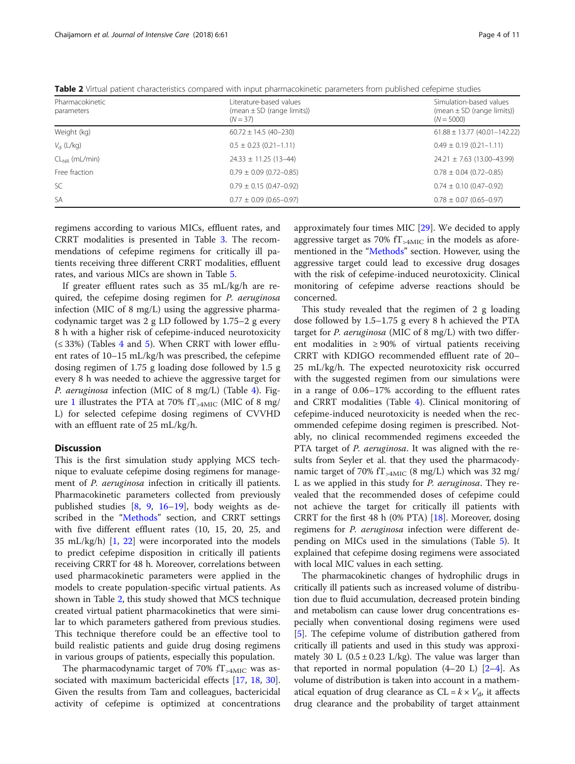| Pharmacokinetic<br>parameters | Literature-based values<br>(mean $\pm$ SD (range limits))<br>$(N = 37)$ | Simulation-based values<br>$(mean \pm SD (range limits))$<br>$(N = 5000)$ |
|-------------------------------|-------------------------------------------------------------------------|---------------------------------------------------------------------------|
| Weight (kg)                   | $60.72 \pm 14.5$ (40-230)                                               | $61.88 \pm 13.77$ (40.01-142.22)                                          |
| $V_d$ (L/kg)                  | $0.5 \pm 0.23$ (0.21-1.11)                                              | $0.49 \pm 0.19$ (0.21-1.11)                                               |
| $CL_{NR}$ (mL/min)            | $24.33 \pm 11.25$ (13-44)                                               | $24.21 \pm 7.63$ (13.00-43.99)                                            |
| Free fraction                 | $0.79 \pm 0.09$ (0.72-0.85)                                             | $0.78 \pm 0.04$ (0.72-0.85)                                               |
| <b>SC</b>                     | $0.79 \pm 0.15$ (0.47-0.92)                                             | $0.74 \pm 0.10$ (0.47-0.92)                                               |
| <b>SA</b>                     | $0.77 \pm 0.09$ (0.65-0.97)                                             | $0.78 \pm 0.07$ (0.65-0.97)                                               |

<span id="page-3-0"></span>Table 2 Virtual patient characteristics compared with input pharmacokinetic parameters from published cefepime studies

regimens according to various MICs, effluent rates, and CRRT modalities is presented in Table [3](#page-4-0). The recommendations of cefepime regimens for critically ill patients receiving three different CRRT modalities, effluent rates, and various MICs are shown in Table [5](#page-8-0).

If greater effluent rates such as 35 mL/kg/h are required, the cefepime dosing regimen for P. aeruginosa infection (MIC of 8 mg/L) using the aggressive pharmacodynamic target was 2 g LD followed by 1.75–2 g every 8 h with a higher risk of cefepime-induced neurotoxicity  $(\leq 33\%)$  (Tables [4](#page-7-0) and [5](#page-8-0)). When CRRT with lower effluent rates of 10–15 mL/kg/h was prescribed, the cefepime dosing regimen of 1.75 g loading dose followed by 1.5 g every 8 h was needed to achieve the aggressive target for P. aeruginosa infection (MIC of 8 mg/L) (Table [4](#page-7-0)). Fig-ure [1](#page-8-0) illustrates the PTA at 70%  $f_{\text{MIC}}$  (MIC of 8 mg/ L) for selected cefepime dosing regimens of CVVHD with an effluent rate of 25 mL/kg/h.

# **Discussion**

This is the first simulation study applying MCS technique to evaluate cefepime dosing regimens for management of P. aeruginosa infection in critically ill patients. Pharmacokinetic parameters collected from previously published studies [\[8,](#page-9-0) [9,](#page-10-0) [16](#page-10-0)–[19](#page-10-0)], body weights as described in the "[Methods](#page-1-0)" section, and CRRT settings with five different effluent rates (10, 15, 20, 25, and 35 mL/kg/h) [[1](#page-9-0), [22](#page-10-0)] were incorporated into the models to predict cefepime disposition in critically ill patients receiving CRRT for 48 h. Moreover, correlations between used pharmacokinetic parameters were applied in the models to create population-specific virtual patients. As shown in Table 2, this study showed that MCS technique created virtual patient pharmacokinetics that were similar to which parameters gathered from previous studies. This technique therefore could be an effective tool to build realistic patients and guide drug dosing regimens in various groups of patients, especially this population.

The pharmacodynamic target of 70%  $f_{\text{S4MIC}}$  was associated with maximum bactericidal effects [\[17,](#page-10-0) [18,](#page-10-0) [30](#page-10-0)]. Given the results from Tam and colleagues, bactericidal activity of cefepime is optimized at concentrations approximately four times MIC [[29\]](#page-10-0). We decided to apply aggressive target as 70%  $f_{\text{S4MIC}}$  in the models as aforementioned in the "[Methods](#page-1-0)" section. However, using the aggressive target could lead to excessive drug dosages with the risk of cefepime-induced neurotoxicity. Clinical monitoring of cefepime adverse reactions should be concerned.

This study revealed that the regimen of 2 g loading dose followed by 1.5–1.75 g every 8 h achieved the PTA target for P. aeruginosa (MIC of 8 mg/L) with two different modalities in  $\geq 90\%$  of virtual patients receiving CRRT with KDIGO recommended effluent rate of 20– 25 mL/kg/h. The expected neurotoxicity risk occurred with the suggested regimen from our simulations were in a range of 0.06–17% according to the effluent rates and CRRT modalities (Table [4\)](#page-7-0). Clinical monitoring of cefepime-induced neurotoxicity is needed when the recommended cefepime dosing regimen is prescribed. Notably, no clinical recommended regimens exceeded the PTA target of *P. aeruginosa*. It was aligned with the results from Seyler et al. that they used the pharmacodynamic target of 70%  $f_{\text{MIC}}(8 \text{ mg/L})$  which was 32 mg/ L as we applied in this study for P. aeruginosa. They revealed that the recommended doses of cefepime could not achieve the target for critically ill patients with CRRT for the first 48 h  $(0\%$  PTA) [\[18\]](#page-10-0). Moreover, dosing regimens for P. aeruginosa infection were different depending on MICs used in the simulations (Table [5](#page-8-0)). It explained that cefepime dosing regimens were associated with local MIC values in each setting.

The pharmacokinetic changes of hydrophilic drugs in critically ill patients such as increased volume of distribution due to fluid accumulation, decreased protein binding and metabolism can cause lower drug concentrations especially when conventional dosing regimens were used [[5\]](#page-9-0). The cefepime volume of distribution gathered from critically ill patients and used in this study was approximately 30 L  $(0.5 \pm 0.23 \text{ L/kg})$ . The value was larger than that reported in normal population  $(4-20 \text{ L})$   $[2-4]$  $[2-4]$  $[2-4]$ . As volume of distribution is taken into account in a mathematical equation of drug clearance as  $CL = k \times V_d$ , it affects drug clearance and the probability of target attainment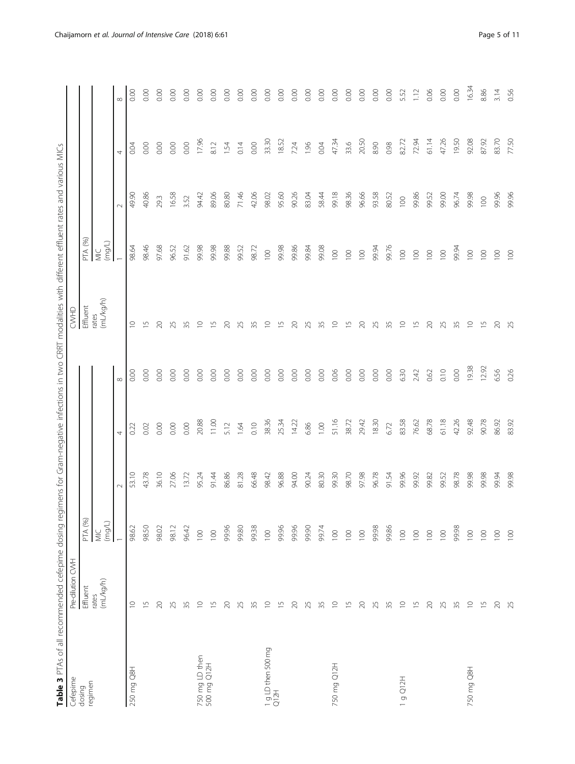| ׇ֚֚֬֓֕֓֡֬֝֬֝֬                                       |  |
|-----------------------------------------------------|--|
|                                                     |  |
|                                                     |  |
|                                                     |  |
| l                                                   |  |
|                                                     |  |
|                                                     |  |
|                                                     |  |
|                                                     |  |
|                                                     |  |
|                                                     |  |
|                                                     |  |
|                                                     |  |
|                                                     |  |
|                                                     |  |
|                                                     |  |
|                                                     |  |
|                                                     |  |
|                                                     |  |
|                                                     |  |
|                                                     |  |
|                                                     |  |
|                                                     |  |
|                                                     |  |
|                                                     |  |
|                                                     |  |
|                                                     |  |
|                                                     |  |
|                                                     |  |
|                                                     |  |
|                                                     |  |
|                                                     |  |
| $\frac{1}{2}$                                       |  |
|                                                     |  |
| $\overline{a}$                                      |  |
| $\overline{\phantom{a}}$                            |  |
|                                                     |  |
|                                                     |  |
|                                                     |  |
|                                                     |  |
|                                                     |  |
|                                                     |  |
|                                                     |  |
| l                                                   |  |
|                                                     |  |
|                                                     |  |
|                                                     |  |
|                                                     |  |
|                                                     |  |
| j<br>I                                              |  |
| j<br>֖֖֧ׅׅ֚֚֚֚֚֚֚֚֚֚֚֚֚֚֚֚֚֚֚֚֚֚֚֚֚֡֝֝֝֝֝֝֬֓֡֞<br>) |  |
| I<br>J                                              |  |
|                                                     |  |
|                                                     |  |
| Ī                                                   |  |
| j<br>$\overline{\phantom{a}}$                       |  |
|                                                     |  |
|                                                     |  |
|                                                     |  |
|                                                     |  |
| ׇ֬֕<br>ׇ֚֘֡                                         |  |
|                                                     |  |
| j<br>٢<br>j                                         |  |
|                                                     |  |
|                                                     |  |
| ١                                                   |  |
|                                                     |  |
| ١                                                   |  |
|                                                     |  |
|                                                     |  |
|                                                     |  |
|                                                     |  |
| į<br>J<br>Ĵ                                         |  |
| ā<br>t<br>j                                         |  |
| j<br>j                                              |  |
| ī                                                   |  |
|                                                     |  |
|                                                     |  |
|                                                     |  |
|                                                     |  |
|                                                     |  |
|                                                     |  |
|                                                     |  |
| j                                                   |  |
|                                                     |  |
|                                                     |  |
| ١                                                   |  |
|                                                     |  |
|                                                     |  |
|                                                     |  |
|                                                     |  |
| $\frac{1}{2}$                                       |  |
|                                                     |  |
|                                                     |  |
|                                                     |  |
| l                                                   |  |

<span id="page-4-0"></span>

| Table 3 PTAs of all recommended cefepime dosing regimens for Gram-negative infections in two CRRT modalities with different effluent rates and various MICs<br>Cefepime | Pre-dilution CVVH  |                     |        |       |          | CVVHD              |                          |        |       |                   |
|-------------------------------------------------------------------------------------------------------------------------------------------------------------------------|--------------------|---------------------|--------|-------|----------|--------------------|--------------------------|--------|-------|-------------------|
| regimen<br>dosing                                                                                                                                                       | Effluent           | PTA (%)             |        |       |          | Effluent           | PTA (%)                  |        |       |                   |
|                                                                                                                                                                         | rates<br>(mL/kg/h) | $($ mg/L)<br>$\leq$ |        |       |          | (mL/kg/h)<br>rates | (mg/L)<br>$\leq$         |        |       |                   |
|                                                                                                                                                                         |                    |                     | $\sim$ | 4     | $\infty$ |                    |                          | $\sim$ | 4     | $\infty$          |
| 250 mg Q8H                                                                                                                                                              | $\supseteq$        | 98.62               | 53.10  | 0.22  | 0.00     | $\supseteq$        | 98.64                    | 49.90  | 0.04  | 0.00              |
|                                                                                                                                                                         | $\frac{5}{1}$      | 98.50               | 43.78  | 0.02  | 0.00     | $\overline{1}$     | 98.46                    | 40.86  | 0.00  | 0.00              |
|                                                                                                                                                                         | $\gtrsim$          | 98.02               | 36.10  | 0.00  | 0.00     | 20                 | 97.68                    | 29.3   | 0.00  | 0.00              |
|                                                                                                                                                                         | 25                 | 98.12               | 27.06  | 0.00  | 0.00     | 25                 | 96.52                    | 16.58  | 0.00  | 0.00              |
|                                                                                                                                                                         | 35                 | 96.42               | 13.72  | 0.00  | 600      | 35                 | 91.62                    | 3.52   | 0.00  | $\frac{8}{2}$     |
| 750 mg LD then<br>500 mg Q12H                                                                                                                                           | $\supseteq$        | 100                 | 95.24  | 20.88 | 0.00     | $\supseteq$        | 99.98                    | 94.42  | 17.96 | $\rm{SO}$         |
|                                                                                                                                                                         | $\overline{5}$     | 100                 | 91.44  | 11.00 | 0.00     | $\frac{5}{1}$      | 99.98                    | 89.06  | 8.12  | 0.00              |
|                                                                                                                                                                         | $\gtrsim$          | 99.96               | 86.86  | 5.12  | 0.00     | 20                 | 99.88                    | 80.80  | 1.54  | 0.00              |
|                                                                                                                                                                         | 25                 | 99.80               | 81.28  | 1.64  | 0.00     | 25                 | 99.52                    | 71.46  | 0.14  | 0.00              |
|                                                                                                                                                                         | 35                 | 99.38               | 66.48  | 0.10  | 600      | 35                 | 98.72                    | 42.06  | 0.00  | $\rm_{0.00}$      |
| 1 g LD then 500 mg<br>Q12H                                                                                                                                              | $\supseteq$        | 100                 | 98.42  | 38.36 | 0.00     | $\supseteq$        | 100                      | 98.02  | 33.30 | 600               |
|                                                                                                                                                                         | $\frac{5}{1}$      | 99.96               | 96.88  | 25.34 | 0.00     | $\frac{1}{1}$      | 99.98                    | 95.60  | 18.52 | $\rm{SO}$         |
|                                                                                                                                                                         | $\geqslant$        | 99.96               | 94.00  | 14.22 | 0.00     | 20                 | 99.86                    | 90.26  | 7.24  | 0.00              |
|                                                                                                                                                                         | 25                 | 99.90               | 90.24  | 6.86  | 0.00     | 25                 | 99.84                    | 83.04  | 1.96  | 0.00              |
|                                                                                                                                                                         | 35                 | 99.74               | 80.30  | 100   | 0.00     | 35                 | 99.08                    | 58.44  | 0.04  | 0.00              |
| 750 mg Q12H                                                                                                                                                             | $\supseteq$        | 100                 | 99.30  | 51.16 | 0.06     | $\supseteq$        | 100                      | 99.18  | 47.34 | $\rm_{0.00}$      |
|                                                                                                                                                                         | $\overline{5}$     | 100                 | 98.70  | 38.72 | 0.00     | $\frac{5}{1}$      | $\overline{100}$         | 98.36  | 33.6  | $\frac{8}{2}$     |
|                                                                                                                                                                         | $\gtrsim$          | 100                 | 97.98  | 29.42 | 0.00     | 20                 | 100                      | 96.66  | 20.50 | 0.00              |
|                                                                                                                                                                         | 25                 | 99.98               | 96.78  | 18.30 | 0.00     | 25                 | 99.94                    | 93.58  | 8.90  | 0.00              |
|                                                                                                                                                                         | 35                 | 99.86               | 91.54  | 6.72  | 0.00     | 35                 | 99.76                    | 80.52  | 0.98  | 0.00              |
| 1 g Q12H                                                                                                                                                                | $\supseteq$        | $\Xi$               | 99.96  | 83.58 | 6.30     | $\supseteq$        | $\overline{\mathrm{SO}}$ | 100    | 82.72 | 5.52              |
|                                                                                                                                                                         | $\overline{5}$     | 100                 | 99.92  | 76.62 | 242      | $\frac{5}{1}$      | $\geq$                   | 99.86  | 72.94 | 1.12              |
|                                                                                                                                                                         | $\gtrsim$          | 100                 | 99.82  | 68.78 | 0.62     | 20                 | 100                      | 99.52  | 61.14 | 0.06              |
|                                                                                                                                                                         | 25                 | 100                 | 99.52  | 61.18 | 0.10     | 25                 | $\overline{100}$         | 99.00  | 47.26 | 0.00              |
|                                                                                                                                                                         | 35                 | 99.98               | 98.78  | 42.26 | 0.00     | 35                 | 99.94                    | 96.74  | 19.50 | 0.00              |
| 750 mg Q8H                                                                                                                                                              | $\supseteq$        | 100                 | 99.98  | 92.48 | 19.38    | $\supseteq$        | $\overline{100}$         | 99.98  | 92.08 | 16.3 <sup>2</sup> |
|                                                                                                                                                                         | $\overline{5}$     | 100                 | 99.98  | 90.78 | 12.92    | $\frac{5}{1}$      | 100                      | 100    | 87.92 | 8.86              |
|                                                                                                                                                                         | $\gtrsim$          | 100                 | 99.94  | 86.92 | 6.56     | $20$               | $\overline{\mathrm{SO}}$ | 99.96  | 83.70 | 3.14              |
|                                                                                                                                                                         | 25                 | $\overline{100}$    | 99.98  | 83.92 | 0.26     | 25                 | $\overline{5}$           | 99.96  | 77.50 | 0.56              |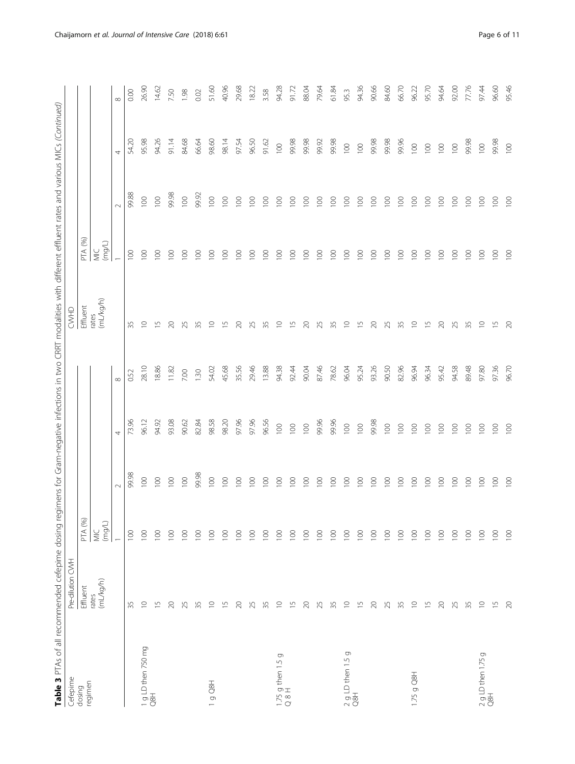| í                                                                                      |  |
|----------------------------------------------------------------------------------------|--|
|                                                                                        |  |
| I                                                                                      |  |
|                                                                                        |  |
|                                                                                        |  |
|                                                                                        |  |
|                                                                                        |  |
|                                                                                        |  |
| j                                                                                      |  |
|                                                                                        |  |
| ļ                                                                                      |  |
| $\overline{a}$                                                                         |  |
|                                                                                        |  |
|                                                                                        |  |
| ì                                                                                      |  |
|                                                                                        |  |
| j                                                                                      |  |
| $\ddot{\phantom{a}}$                                                                   |  |
| į                                                                                      |  |
|                                                                                        |  |
|                                                                                        |  |
|                                                                                        |  |
| ׇ֚֕֡                                                                                   |  |
|                                                                                        |  |
|                                                                                        |  |
|                                                                                        |  |
|                                                                                        |  |
|                                                                                        |  |
|                                                                                        |  |
|                                                                                        |  |
|                                                                                        |  |
| j                                                                                      |  |
|                                                                                        |  |
|                                                                                        |  |
|                                                                                        |  |
|                                                                                        |  |
| <br> <br>                                                                              |  |
|                                                                                        |  |
|                                                                                        |  |
|                                                                                        |  |
|                                                                                        |  |
|                                                                                        |  |
|                                                                                        |  |
| j                                                                                      |  |
|                                                                                        |  |
| י<br>י                                                                                 |  |
|                                                                                        |  |
|                                                                                        |  |
|                                                                                        |  |
|                                                                                        |  |
| j                                                                                      |  |
| j<br>j<br>)                                                                            |  |
|                                                                                        |  |
| I<br>֚֬                                                                                |  |
|                                                                                        |  |
| ļ                                                                                      |  |
| J<br>İ                                                                                 |  |
| I                                                                                      |  |
|                                                                                        |  |
|                                                                                        |  |
|                                                                                        |  |
| I                                                                                      |  |
|                                                                                        |  |
| j                                                                                      |  |
| $\mathbf{r}$<br>j                                                                      |  |
|                                                                                        |  |
| i<br>j<br>5                                                                            |  |
| <b>SIID</b><br>$\vdots$<br>l                                                           |  |
|                                                                                        |  |
|                                                                                        |  |
|                                                                                        |  |
|                                                                                        |  |
|                                                                                        |  |
|                                                                                        |  |
|                                                                                        |  |
|                                                                                        |  |
| ֖֖֖֖֖֪֪ׅ֖֪֪֪ׅ֖֪֪֪֪֦֚֚֚֚֚֚֚֚֚֚֚֚֚֚֚֚֬֝֝֝֝֝֝֝֬֓֝֬֝֬֝֓֬֝֓֬֝֓֬֝֬֝֓֬֝֓֬֝֬֝֓֬֝֬֝֬֝֓֬֝֬֝֬֝֬֝֬ |  |
|                                                                                        |  |
|                                                                                        |  |
| ١                                                                                      |  |
|                                                                                        |  |
| ١                                                                                      |  |
|                                                                                        |  |
|                                                                                        |  |
|                                                                                        |  |
| ֡֡֡                                                                                    |  |
|                                                                                        |  |
|                                                                                        |  |
|                                                                                        |  |
|                                                                                        |  |
| $\overline{a}$                                                                         |  |
|                                                                                        |  |
|                                                                                        |  |
|                                                                                        |  |

| Table 3 PTAs of all recommended cefepime dosing regimens for Gram-negative infections in two CRRT modalities with different effluent rates and various MICs (Continued) |                    |                     |                  |                  |          |                          |                     |                  |                |          |
|-------------------------------------------------------------------------------------------------------------------------------------------------------------------------|--------------------|---------------------|------------------|------------------|----------|--------------------------|---------------------|------------------|----------------|----------|
| Cefepime                                                                                                                                                                | Pre-dilution CVVH  |                     |                  |                  |          | CNAID                    |                     |                  |                |          |
| regimen<br>dosing                                                                                                                                                       | Effluent           | PTA (%)             |                  |                  |          | Effluent                 | PTA (%)             |                  |                |          |
|                                                                                                                                                                         | (mL/kg/h)<br>rates | $($ mg/L)<br>$\leq$ |                  |                  |          | (mL/kg/h)<br>rates       | $($ mg/L)<br>$\leq$ |                  |                |          |
|                                                                                                                                                                         |                    |                     | $\sim$           | $\overline{4}$   | $\infty$ |                          |                     | $\sim$           | $\overline{4}$ | $\infty$ |
|                                                                                                                                                                         | 35                 | 100                 | 99.98            | 73.96            | 0.52     | 35                       | $\overline{5}$      | 99.88            | 54.20          | 0.00     |
| 1 g LD then 750 mg<br>Q8H                                                                                                                                               | $\supseteq$        | 100                 | 100              | 96.12            | 28.10    | $\supseteq$              | $\overline{5}$      | $\Xi$            | 95.98          | 26.90    |
|                                                                                                                                                                         | $\overline{5}$     | 100                 | 100              | 94.92            | 18.86    | $\overline{5}$           | $\overline{5}$      | 100              | 94.26          | 14.62    |
|                                                                                                                                                                         | $\infty$           | 100                 | 100              | 93.08            | 11.82    | 20                       | $\overline{5}$      | 99.98            | 91.14          | 7.50     |
|                                                                                                                                                                         | 25                 | $\overline{100}$    | $\overline{100}$ | 90.62            | 7.00     | 25                       | $\overline{5}$      | $\overline{100}$ | 84.68          | 1.98     |
|                                                                                                                                                                         | 35                 | 100                 | 99.98            | 82.84            | 1.30     | 35                       | $\overline{100}$    | 99.92            | 66.64          | 0.02     |
| 19 Q8H                                                                                                                                                                  | $\supseteq$        | $\geq$              | 100              | 98.58            | 54.02    | $\supseteq$              | $\overline{5}$      | 100              | 98.60          | 51.60    |
|                                                                                                                                                                         | $\overline{5}$     | 100                 | 100              | 98.20            | 45.68    | $\overline{5}$           | $\sum_{i=1}^{n}$    | $\overline{100}$ | 98.14          | 40.96    |
|                                                                                                                                                                         | $\geqslant$        | 100                 | $\overline{100}$ | 97.96            | 35.56    | 20                       | $\overline{5}$      | $\overline{5}$   | 97.54          | 29.68    |
|                                                                                                                                                                         | 25                 | $\overline{5}$      | $\geq$           | 97.96            | 29.46    | 25                       | $\overline{5}$      | $\overline{5}$   | 96.50          | 18.22    |
|                                                                                                                                                                         | 35                 | 100                 | $\geq$           | 96.56            | 13.88    | 35                       | $\overline{100}$    | 100              | 91.62          | 3.58     |
| G<br>$1.75$ g then 1.5 g<br>Q 8 H                                                                                                                                       | $\supseteq$        | 100                 | $\overline{100}$ | 100              | 94.38    | $\supseteq$              | $\overline{5}$      | $\overline{5}$   | 100            | 94.28    |
|                                                                                                                                                                         | $\overline{5}$     | 100                 | $\overline{100}$ | 100              | 92.44    | $\frac{5}{1}$            | $\overline{5}$      | $\overline{5}$   | 99.98          | 91.72    |
|                                                                                                                                                                         | $\gtrsim$          | 100                 | $\geq$           | 100              | 90.04    | 20                       | $\overline{5}$      | $\overline{5}$   | 99.98          | 88.04    |
|                                                                                                                                                                         | 25                 | $\overline{5}$      | $\geq$           | 99.96            | 87.46    | 25                       | $\overline{5}$      | $\overline{5}$   | 99.92          | 79.64    |
|                                                                                                                                                                         | 35                 | 100                 | $\overline{5}$   | 99.96            | 78.62    | 35                       | $\overline{5}$      | 100              | 99.98          | 61.84    |
| g<br>2 g LD then 1.5 g<br>Q8H                                                                                                                                           | $\supseteq$        | $\overline{5}$      | $\overline{100}$ | 100              | 96.04    | $\supseteq$              | $\overline{5}$      | $\overline{5}$   | 100            | 95.3     |
|                                                                                                                                                                         | $\overline{5}$     | 100                 | $\overline{100}$ | 100              | 95.24    | $\frac{5}{1}$            | $\overline{5}$      | $\overline{100}$ | 100            | 94.36    |
|                                                                                                                                                                         | $\gtrsim$          | 100                 | $\overline{5}$   | 99.98            | 93.26    | $\overline{c}$           | $\overline{5}$      | $\overline{5}$   | 99.98          | 90.66    |
|                                                                                                                                                                         | 25                 | 100                 | $\overline{5}$   | $\overline{100}$ | 90.50    | 25                       | $\sum_{i=1}^{n}$    | $\overline{5}$   | 99.98          | 84.60    |
|                                                                                                                                                                         | 35                 | $\overline{5}$      | $\overline{5}$   | $\geq$           | 82.96    | 35                       | $\overline{5}$      | $\overline{5}$   | 99.96          | 66.70    |
| 1.75 g Q8H                                                                                                                                                              | $\supseteq$        | $\overline{5}$      | $\geq$           | $\geq$           | 96.94    | $\supseteq$              | $\overline{5}$      | $\overline{5}$   | 100            | 96.22    |
|                                                                                                                                                                         | $\overline{1}$     | 100                 | $\geq$           | $\geq$           | 96.34    | $\overline{5}$           | $\overline{5}$      | $\overline{100}$ | 100            | 95.70    |
|                                                                                                                                                                         | $\geqslant$        | 100                 | $\overline{5}$   | $\overline{5}$   | 95.42    | 20                       | $\overline{5}$      | $\overline{5}$   | 100            | 94.64    |
|                                                                                                                                                                         | 25                 | 100                 | $\overline{5}$   | $\overline{5}$   | 94.58    | 25                       | $\overline{5}$      | $\overline{5}$   | 100            | 92.00    |
|                                                                                                                                                                         | 35                 | 100                 | $\overline{100}$ | $\overline{5}$   | 89.48    | 35                       | $\overline{100}$    | $\overline{100}$ | 99.98          | 77.76    |
| 2 g LD then 1.75 g<br>Q8H                                                                                                                                               | $\supseteq$        | 100                 | $\overline{5}$   | $\overline{5}$   | 97.80    | $\supseteq$              | $\overline{5}$      | $\overline{100}$ | 100            | 97.44    |
|                                                                                                                                                                         | $\overline{1}$     | 100                 | $\overline{5}$   | $\geq$           | 97.36    | $\overline{\phantom{0}}$ | $\overline{5}$      | $\overline{100}$ | 99.98          | 96.60    |
|                                                                                                                                                                         | $\infty$           | 100                 | 100              | 100              | 96.70    | 20                       | 100                 | 100              | 100            | 95.46    |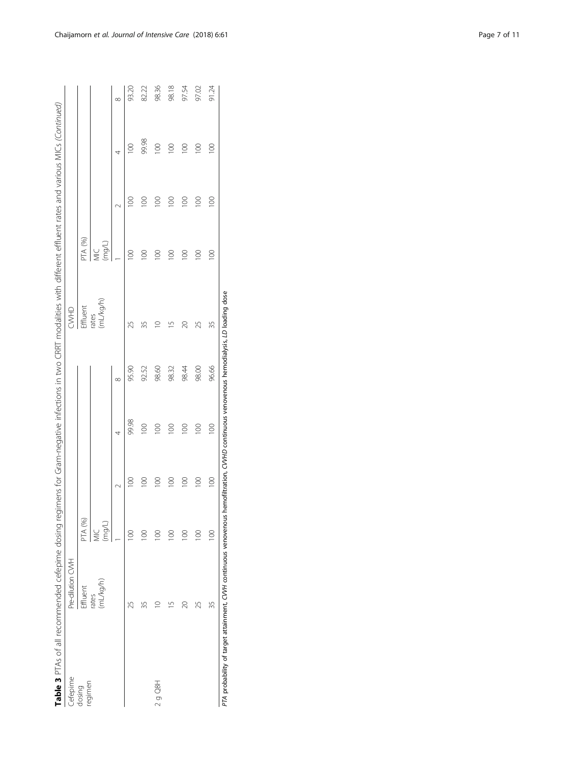| í                        |               |
|--------------------------|---------------|
| .<br>}                   |               |
|                          |               |
|                          |               |
| j                        |               |
| j                        |               |
| ļ<br>י<br>י              |               |
|                          |               |
| i                        |               |
| .<br>.<br>.<br>i         |               |
|                          |               |
| j                        |               |
| ֚֬                       |               |
|                          |               |
|                          |               |
|                          | $\mathbf{r}$  |
|                          |               |
|                          |               |
| <br> <br> <br>           |               |
|                          |               |
|                          |               |
|                          |               |
| j                        |               |
| ì<br>j                   |               |
|                          |               |
| $\frac{1}{2}$            |               |
| i<br>j<br>İ<br>J         |               |
| ֚֬                       |               |
| -<br>-<br>-<br>J         |               |
| I                        |               |
|                          |               |
| į                        |               |
| j<br>j<br>J              |               |
| į<br>i<br>$\overline{ }$ |               |
| $\frac{1}{1}$<br>Š<br>l  |               |
|                          |               |
|                          |               |
| ١                        | ֖֖֖֖֚֚֚֚֚֚֬   |
| ֒<br>ׇ֠֡֡֡               |               |
|                          |               |
|                          |               |
| ١<br>i                   |               |
|                          |               |
| ֡֡֡                      |               |
|                          |               |
|                          |               |
| $\overline{a}$           |               |
|                          |               |
|                          | $\frac{1}{2}$ |
|                          |               |

| rates<br>regimen<br>dosing | Pre-dilution CVVH |                  |                         |                  |          | <b>CNVHD</b>       |                  |                |                  |          |
|----------------------------|-------------------|------------------|-------------------------|------------------|----------|--------------------|------------------|----------------|------------------|----------|
|                            | Effluent          | PTA (%)          |                         |                  |          | Effluent           | PTA (%)          |                |                  |          |
|                            | (mL/kg/h)         | (mg/L)<br>$\leq$ |                         |                  |          | (mL/kg/h)<br>rates | (mg/L)<br>$\leq$ |                |                  |          |
|                            |                   |                  | $\sim$                  | 4                | $\infty$ |                    |                  |                | 4                | $\infty$ |
| 25                         |                   | $\infty$         | $\overline{\mathsf{S}}$ | 99.98            | 95.90    |                    | $\frac{8}{1}$    | S <sub>-</sub> | $\frac{8}{2}$    | 93.20    |
| 55                         |                   | $\infty$         | $\overline{100}$        | $\overline{100}$ | 92.52    | 35                 | $\approx$        | $\approx$      | 99.98            | 82.22    |
| 2 g Q8H                    |                   | 8                | $\approx$               | $\infty$         | 98.60    | $\circ$            | $\approx$        | $\Xi$          | $\infty$         | 98.36    |
|                            |                   | $\frac{8}{1}$    | $\approx$               | $\approx$        | 98.32    |                    | $\approx$        | $\approx$      | $\approx$        | 98.18    |
| 20                         |                   | $\frac{8}{1}$    | $\approx$               | $\overline{0}$   | 98.44    | 20                 | $\approx$        | <u>පි</u>      | $\geq$           | 97.54    |
| 25                         |                   | $\overline{00}$  | $\approx$               | $\approx$        | 98.00    | 25                 | $\approx$        | $\approx$      | $\approx$        | 97.02    |
| 35                         |                   | ≊                | $\overline{100}$        | $\approx$        | 96.66    | 35                 | $\approx$        | $\approx$      | $\overline{100}$ | 91.24    |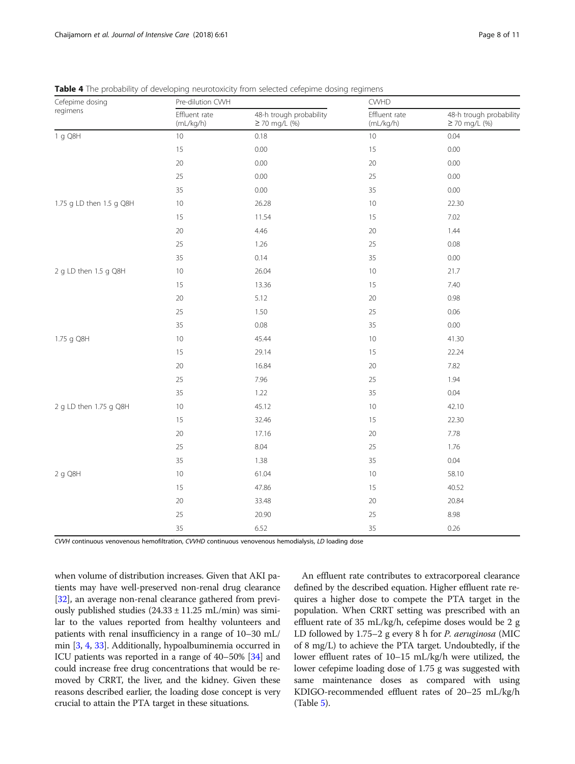| Cefepime dosing          | Pre-dilution CVVH          |                                          | CWHD                       |                                               |
|--------------------------|----------------------------|------------------------------------------|----------------------------|-----------------------------------------------|
| regimens                 | Effluent rate<br>(mL/kg/h) | 48-h trough probability<br>≥ 70 mg/L (%) | Effluent rate<br>(mL/kg/h) | 48-h trough probability<br>$\geq$ 70 mg/L (%) |
| 1 g Q8H                  | 10                         | 0.18                                     | $10$                       | 0.04                                          |
|                          | 15                         | 0.00                                     | $15\,$                     | 0.00                                          |
|                          | $20\,$                     | 0.00                                     | 20                         | 0.00                                          |
|                          | 25                         | 0.00                                     | 25                         | 0.00                                          |
|                          | 35                         | 0.00                                     | 35                         | 0.00                                          |
| 1.75 g LD then 1.5 g Q8H | $10$                       | 26.28                                    | $10$                       | 22.30                                         |
|                          | 15                         | 11.54                                    | 15                         | 7.02                                          |
|                          | $20\,$                     | 4.46                                     | $20\,$                     | 1.44                                          |
|                          | 25                         | 1.26                                     | 25                         | 0.08                                          |
|                          | 35                         | 0.14                                     | 35                         | 0.00                                          |
| 2 g LD then 1.5 g Q8H    | 10                         | 26.04                                    | $10$                       | 21.7                                          |
|                          | 15                         | 13.36                                    | 15                         | 7.40                                          |
|                          | 20                         | 5.12                                     | 20                         | 0.98                                          |
|                          | 25                         | 1.50                                     | 25                         | 0.06                                          |
|                          | 35                         | 0.08                                     | 35                         | 0.00                                          |
| 1.75 g Q8H               | $10$                       | 45.44                                    | $10$                       | 41.30                                         |
|                          | 15                         | 29.14                                    | 15                         | 22.24                                         |
|                          | $20\,$                     | 16.84                                    | $20\,$                     | 7.82                                          |
|                          | 25                         | 7.96                                     | 25                         | 1.94                                          |
|                          | 35                         | 1.22                                     | 35                         | 0.04                                          |
| 2 g LD then 1.75 g Q8H   | $10$                       | 45.12                                    | $10$                       | 42.10                                         |
|                          | 15                         | 32.46                                    | 15                         | 22.30                                         |
|                          | $20\,$                     | 17.16                                    | $20\,$                     | 7.78                                          |
|                          | 25                         | 8.04                                     | 25                         | 1.76                                          |
|                          | 35                         | 1.38                                     | 35                         | 0.04                                          |
| 2 g Q8H                  | 10                         | 61.04                                    | $10$                       | 58.10                                         |
|                          | 15                         | 47.86                                    | 15                         | 40.52                                         |
|                          | $20\,$                     | 33.48                                    | 20                         | 20.84                                         |
|                          | 25                         | 20.90                                    | 25                         | 8.98                                          |
|                          | 35                         | 6.52                                     | 35                         | 0.26                                          |

<span id="page-7-0"></span>Table 4 The probability of developing neurotoxicity from selected cefepime dosing regimens

CVVH continuous venovenous hemofiltration, CVVHD continuous venovenous hemodialysis, LD loading dose

when volume of distribution increases. Given that AKI patients may have well-preserved non-renal drug clearance [[32](#page-10-0)], an average non-renal clearance gathered from previously published studies  $(24.33 \pm 11.25 \text{ mL/min})$  was similar to the values reported from healthy volunteers and patients with renal insufficiency in a range of 10–30 mL/ min [[3](#page-9-0), [4](#page-9-0), [33\]](#page-10-0). Additionally, hypoalbuminemia occurred in ICU patients was reported in a range of 40–50% [[34](#page-10-0)] and could increase free drug concentrations that would be removed by CRRT, the liver, and the kidney. Given these reasons described earlier, the loading dose concept is very crucial to attain the PTA target in these situations.

An effluent rate contributes to extracorporeal clearance defined by the described equation. Higher effluent rate requires a higher dose to compete the PTA target in the population. When CRRT setting was prescribed with an effluent rate of 35 mL/kg/h, cefepime doses would be 2 g LD followed by 1.75–2 g every 8 h for P. aeruginosa (MIC of 8 mg/L) to achieve the PTA target. Undoubtedly, if the lower effluent rates of 10–15 mL/kg/h were utilized, the lower cefepime loading dose of 1.75 g was suggested with same maintenance doses as compared with using KDIGO-recommended effluent rates of 20–25 mL/kg/h (Table [5\)](#page-8-0).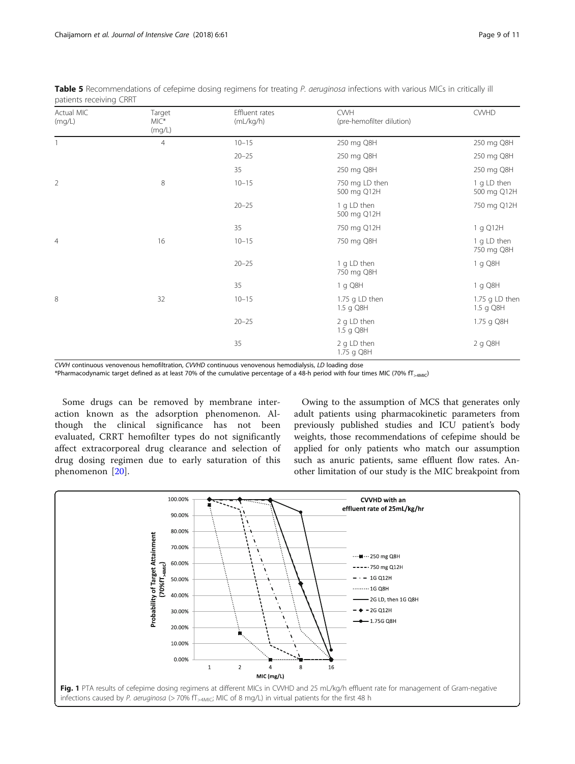| Actual MIC<br>(mq/L) | Target<br>$MIC*$<br>(mq/L) | Effluent rates<br>(mL/kg/h) | <b>CWH</b><br>(pre-hemofilter dilution) | <b>CWHD</b>                 |
|----------------------|----------------------------|-----------------------------|-----------------------------------------|-----------------------------|
|                      | $\overline{4}$             | $10 - 15$                   | 250 mg Q8H                              | 250 mg Q8H                  |
|                      |                            | $20 - 25$                   | 250 mg Q8H                              | 250 mg Q8H                  |
|                      |                            | 35                          | 250 mg Q8H                              | 250 mg Q8H                  |
| $\overline{2}$       | 8                          | $10 - 15$                   | 750 mg LD then<br>500 mg Q12H           | 1 g LD then<br>500 mg Q12H  |
|                      |                            | $20 - 25$                   | 1 g LD then<br>500 mg Q12H              | 750 mg Q12H                 |
|                      |                            | 35                          | 750 mg Q12H                             | 1 g Q12H                    |
| 16<br>$\overline{4}$ | $10 - 15$                  | 750 mg Q8H                  | 1 g LD then<br>750 mg Q8H               |                             |
|                      |                            | $20 - 25$                   | 1 g LD then<br>750 mg Q8H               | 1 g Q8H                     |
|                      |                            | 35                          | 1 g Q8H                                 | 1 g Q8H                     |
| 8                    | 32                         | $10 - 15$                   | 1.75 g LD then<br>1.5 g Q8H             | 1.75 g LD then<br>1.5 g Q8H |
|                      |                            | $20 - 25$                   | 2 g LD then<br>1.5 g Q8H                | 1.75 g Q8H                  |
|                      |                            | 35                          | 2 g LD then<br>1.75 g Q8H               | 2 g Q8H                     |

<span id="page-8-0"></span>Table 5 Recommendations of cefepime dosing regimens for treating P. aeruginosa infections with various MICs in critically ill patients receiving CRRT

CVVH continuous venovenous hemofiltration, CVVHD continuous venovenous hemodialysis, LD loading dose

\*Pharmacodynamic target defined as at least 70% of the cumulative percentage of a 48-h period with four times MIC (70% fT>4MIC)

Some drugs can be removed by membrane interaction known as the adsorption phenomenon. Although the clinical significance has not been evaluated, CRRT hemofilter types do not significantly affect extracorporeal drug clearance and selection of drug dosing regimen due to early saturation of this phenomenon [[20\]](#page-10-0).

Owing to the assumption of MCS that generates only adult patients using pharmacokinetic parameters from previously published studies and ICU patient's body weights, those recommendations of cefepime should be applied for only patients who match our assumption such as anuric patients, same effluent flow rates. Another limitation of our study is the MIC breakpoint from

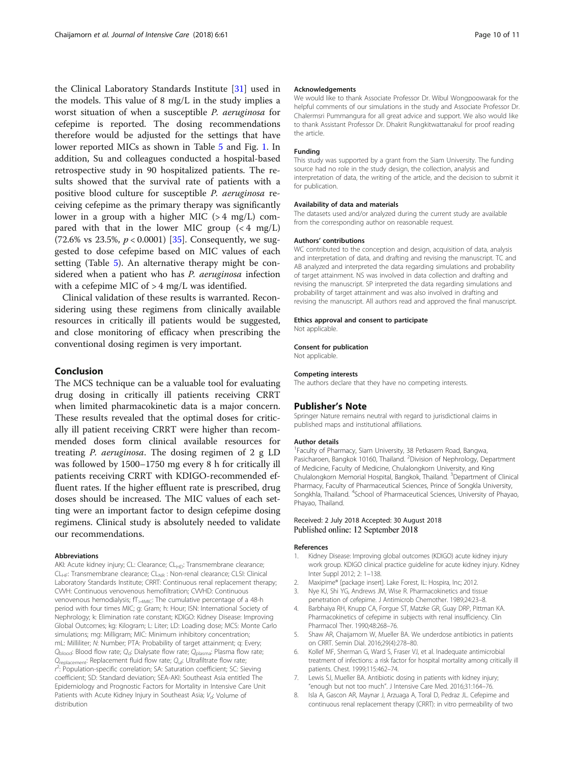<span id="page-9-0"></span>the Clinical Laboratory Standards Institute [[31\]](#page-10-0) used in the models. This value of 8 mg/L in the study implies a worst situation of when a susceptible P. aeruginosa for cefepime is reported. The dosing recommendations therefore would be adjusted for the settings that have lower reported MICs as shown in Table [5](#page-8-0) and Fig. [1](#page-8-0). In addition, Su and colleagues conducted a hospital-based retrospective study in 90 hospitalized patients. The results showed that the survival rate of patients with a positive blood culture for susceptible P. aeruginosa receiving cefepime as the primary therapy was significantly lower in a group with a higher MIC  $(> 4 \text{ mg/L})$  compared with that in the lower MIC group  $( $4 \text{ mg/L}$ )$ (72.6% vs 23.5%,  $p < 0.0001$ ) [[35](#page-10-0)]. Consequently, we suggested to dose cefepime based on MIC values of each setting (Table [5\)](#page-8-0). An alternative therapy might be considered when a patient who has *P. aeruginosa* infection with a cefepime MIC of > 4 mg/L was identified.

Clinical validation of these results is warranted. Reconsidering using these regimens from clinically available resources in critically ill patients would be suggested, and close monitoring of efficacy when prescribing the conventional dosing regimen is very important.

## Conclusion

The MCS technique can be a valuable tool for evaluating drug dosing in critically ill patients receiving CRRT when limited pharmacokinetic data is a major concern. These results revealed that the optimal doses for critically ill patient receiving CRRT were higher than recommended doses form clinical available resources for treating P. aeruginosa. The dosing regimen of 2 g LD was followed by 1500–1750 mg every 8 h for critically ill patients receiving CRRT with KDIGO-recommended effluent rates. If the higher effluent rate is prescribed, drug doses should be increased. The MIC values of each setting were an important factor to design cefepime dosing regimens. Clinical study is absolutely needed to validate our recommendations.

#### Abbreviations

AKI: Acute kidney injury; CL: Clearance; CL<sub>HD</sub>: Transmembrane clearance; CL<sub>HF</sub>: Transmembrane clearance; CL<sub>NR</sub> : Non-renal clearance; CLSI: Clinical Laboratory Standards Institute; CRRT: Continuous renal replacement therapy; CVVH: Continuous venovenous hemofiltration; CVVHD: Continuous venovenous hemodialysis; fT<sub>>4MIC</sub>: The cumulative percentage of a 48-h period with four times MIC; g: Gram; h: Hour; ISN: International Society of Nephrology; k: Elimination rate constant; KDIGO: Kidney Disease: Improving Global Outcomes; kg: Kilogram; L: Liter; LD: Loading dose; MCS: Monte Carlo simulations; mg: Milligram; MIC: Minimum inhibitory concentration; mL: Milliliter; N: Number; PTA: Probability of target attainment; q: Every;  $Q_{\text{blood}}$ : Blood flow rate;  $Q_{\text{d}}$ : Dialysate flow rate;  $Q_{\text{plasma}}$ : Plasma flow rate;  $Q_{\text{replacement}}$ : Replacement fluid flow rate;  $Q_{\text{uf}}$ : Ultrafiltrate flow rate; <sup>2</sup>: Population-specific correlation; SA: Saturation coefficient; SC: Sieving coefficient; SD: Standard deviation; SEA-AKI: Southeast Asia entitled The Epidemiology and Prognostic Factors for Mortality in Intensive Care Unit Patients with Acute Kidney Injury in Southeast Asia;  $V_{d}$ : Volume of distribution

#### Acknowledgements

We would like to thank Associate Professor Dr. Wibul Wongpoowarak for the helpful comments of our simulations in the study and Associate Professor Dr. Chalermsri Pummangura for all great advice and support. We also would like to thank Assistant Professor Dr. Dhakrit Rungkitwattanakul for proof reading the article.

## Funding

This study was supported by a grant from the Siam University. The funding source had no role in the study design, the collection, analysis and interpretation of data, the writing of the article, and the decision to submit it for publication.

# Availability of data and materials

The datasets used and/or analyzed during the current study are available from the corresponding author on reasonable request.

#### Authors' contributions

WC contributed to the conception and design, acquisition of data, analysis and interpretation of data, and drafting and revising the manuscript. TC and AB analyzed and interpreted the data regarding simulations and probability of target attainment. NS was involved in data collection and drafting and revising the manuscript. SP interpreted the data regarding simulations and probability of target attainment and was also involved in drafting and revising the manuscript. All authors read and approved the final manuscript.

#### Ethics approval and consent to participate Not applicable.

## Consent for publication

Not applicable.

#### Competing interests

The authors declare that they have no competing interests.

#### Publisher's Note

Springer Nature remains neutral with regard to jurisdictional claims in published maps and institutional affiliations.

#### Author details

<sup>1</sup> Faculty of Pharmacy, Siam University, 38 Petkasem Road, Bangwa, Pasicharoen, Bangkok 10160, Thailand. <sup>2</sup> Division of Nephrology, Department of Medicine, Faculty of Medicine, Chulalongkorn University, and King Chulalongkorn Memorial Hospital, Bangkok, Thailand. <sup>3</sup>Department of Clinical Pharmacy, Faculty of Pharmaceutical Sciences, Prince of Songkla University, Songkhla, Thailand. <sup>4</sup>School of Pharmaceutical Sciences, University of Phayao Phayao, Thailand.

#### Received: 2 July 2018 Accepted: 30 August 2018 Published online: 12 September 2018

#### References

- 1. Kidney Disease: Improving global outcomes (KDIGO) acute kidney injury work group. KDIGO clinical practice guideline for acute kidney injury. Kidney Inter Suppl 2012; 2: 1–138.
- 2. Maxipime® [package insert]. Lake Forest, IL: Hospira, Inc; 2012.
- Nye KJ, Shi YG, Andrews JM, Wise R. Pharmacokinetics and tissue penetration of cefepime. J Antimicrob Chemother. 1989;24:23–8.
- 4. Barbhaiya RH, Knupp CA, Forgue ST, Matzke GR, Guay DRP, Pittman KA. Pharmacokinetics of cefepime in subjects with renal insufficiency. Clin Pharmacol Ther. 1990;48:268–76.
- 5. Shaw AR, Chaijamorn W, Mueller BA. We underdose antibiotics in patients on CRRT. Semin Dial. 2016;29(4):278–80.
- 6. Kollef MF, Sherman G, Ward S, Fraser VJ, et al. Inadequate antimicrobial treatment of infections: a risk factor for hospital mortality among critically ill patients. Chest. 1999;115:462–74.
- 7. Lewis SJ, Mueller BA. Antibiotic dosing in patients with kidney injury; "enough but not too much". J Intensive Care Med. 2016;31:164–76.
- 8. Isla A, Gascon AR, Maynar J, Arzuaga A, Toral D, Pedraz JL. Cefepime and continuous renal replacement therapy (CRRT): in vitro permeability of two